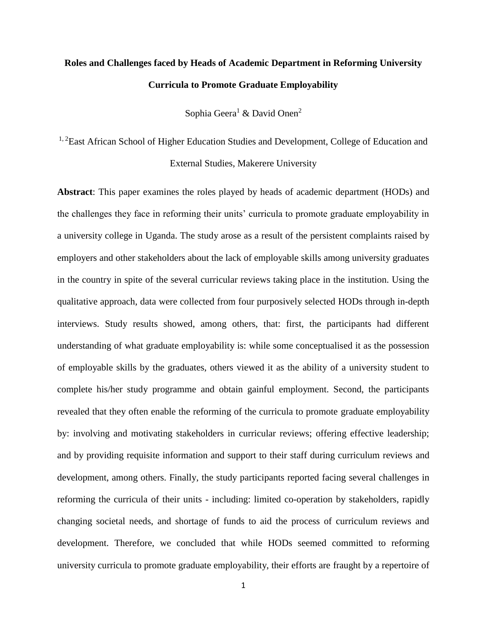# **Roles and Challenges faced by Heads of Academic Department in Reforming University Curricula to Promote Graduate Employability**

Sophia Geera<sup>1</sup> & David Onen<sup>2</sup>

<sup>1, 2</sup>East African School of Higher Education Studies and Development, College of Education and External Studies, Makerere University

**Abstract**: This paper examines the roles played by heads of academic department (HODs) and the challenges they face in reforming their units' curricula to promote graduate employability in a university college in Uganda. The study arose as a result of the persistent complaints raised by employers and other stakeholders about the lack of employable skills among university graduates in the country in spite of the several curricular reviews taking place in the institution. Using the qualitative approach, data were collected from four purposively selected HODs through in-depth interviews. Study results showed, among others, that: first, the participants had different understanding of what graduate employability is: while some conceptualised it as the possession of employable skills by the graduates, others viewed it as the ability of a university student to complete his/her study programme and obtain gainful employment. Second, the participants revealed that they often enable the reforming of the curricula to promote graduate employability by: involving and motivating stakeholders in curricular reviews; offering effective leadership; and by providing requisite information and support to their staff during curriculum reviews and development, among others. Finally, the study participants reported facing several challenges in reforming the curricula of their units - including: limited co-operation by stakeholders, rapidly changing societal needs, and shortage of funds to aid the process of curriculum reviews and development. Therefore, we concluded that while HODs seemed committed to reforming university curricula to promote graduate employability, their efforts are fraught by a repertoire of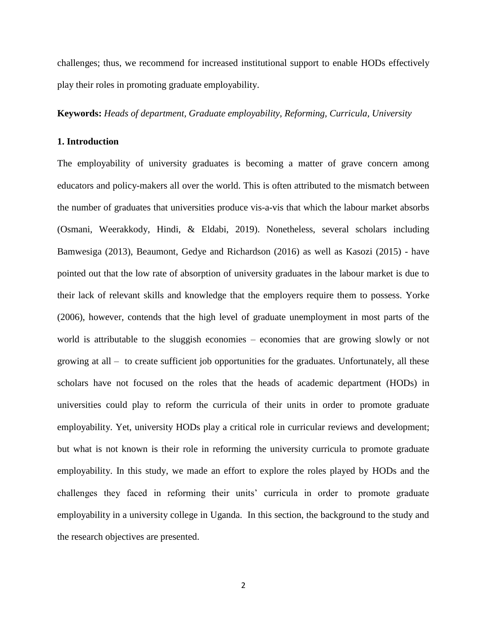challenges; thus, we recommend for increased institutional support to enable HODs effectively play their roles in promoting graduate employability.

**Keywords:** *Heads of department, Graduate employability, Reforming, Curricula, University*

# **1. Introduction**

The employability of university graduates is becoming a matter of grave concern among educators and policy-makers all over the world. This is often attributed to the mismatch between the number of graduates that universities produce vis-a-vis that which the labour market absorbs (Osmani, Weerakkody, Hindi, & Eldabi, 2019). Nonetheless, several scholars including Bamwesiga (2013), Beaumont, Gedye and Richardson (2016) as well as Kasozi (2015) - have pointed out that the low rate of absorption of university graduates in the labour market is due to their lack of relevant skills and knowledge that the employers require them to possess. Yorke (2006), however, contends that the high level of graduate unemployment in most parts of the world is attributable to the sluggish economies – economies that are growing slowly or not growing at all – to create sufficient job opportunities for the graduates. Unfortunately, all these scholars have not focused on the roles that the heads of academic department (HODs) in universities could play to reform the curricula of their units in order to promote graduate employability. Yet, university HODs play a critical role in curricular reviews and development; but what is not known is their role in reforming the university curricula to promote graduate employability. In this study, we made an effort to explore the roles played by HODs and the challenges they faced in reforming their units' curricula in order to promote graduate employability in a university college in Uganda. In this section, the background to the study and the research objectives are presented.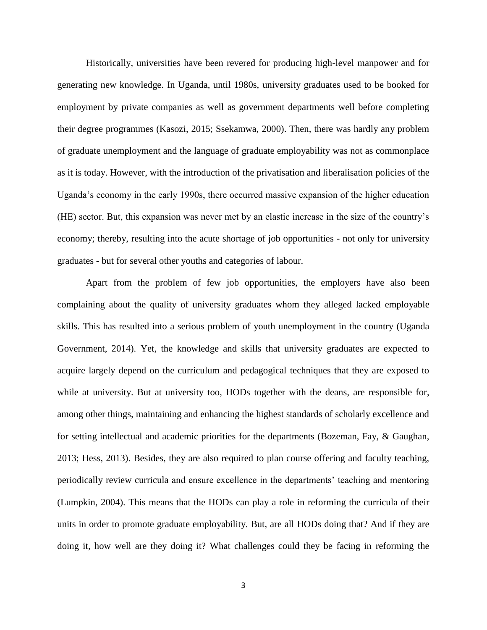Historically, universities have been revered for producing high-level manpower and for generating new knowledge. In Uganda, until 1980s, university graduates used to be booked for employment by private companies as well as government departments well before completing their degree programmes (Kasozi, 2015; Ssekamwa, 2000). Then, there was hardly any problem of graduate unemployment and the language of graduate employability was not as commonplace as it is today. However, with the introduction of the privatisation and liberalisation policies of the Uganda's economy in the early 1990s, there occurred massive expansion of the higher education (HE) sector. But, this expansion was never met by an elastic increase in the size of the country's economy; thereby, resulting into the acute shortage of job opportunities - not only for university graduates - but for several other youths and categories of labour.

Apart from the problem of few job opportunities, the employers have also been complaining about the quality of university graduates whom they alleged lacked employable skills. This has resulted into a serious problem of youth unemployment in the country (Uganda Government, 2014). Yet, the knowledge and skills that university graduates are expected to acquire largely depend on the curriculum and pedagogical techniques that they are exposed to while at university. But at university too, HODs together with the deans, are responsible for, among other things, maintaining and enhancing the highest standards of scholarly excellence and for setting intellectual and academic priorities for the departments (Bozeman, Fay, & Gaughan, 2013; Hess, 2013). Besides, they are also required to plan course offering and faculty teaching, periodically review curricula and ensure excellence in the departments' teaching and mentoring (Lumpkin, 2004). This means that the HODs can play a role in reforming the curricula of their units in order to promote graduate employability. But, are all HODs doing that? And if they are doing it, how well are they doing it? What challenges could they be facing in reforming the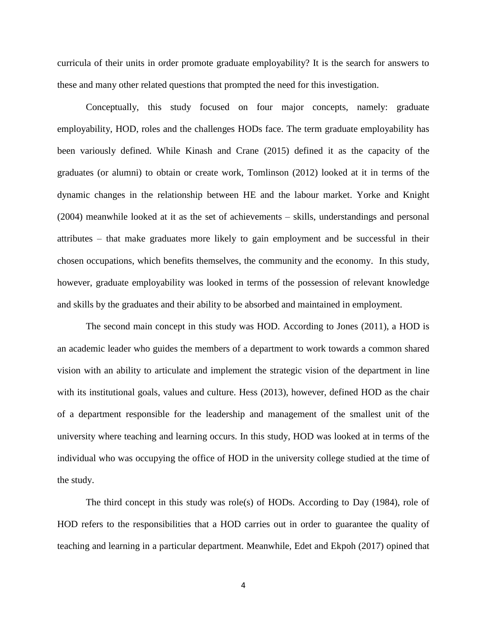curricula of their units in order promote graduate employability? It is the search for answers to these and many other related questions that prompted the need for this investigation.

Conceptually, this study focused on four major concepts, namely: graduate employability, HOD, roles and the challenges HODs face. The term graduate employability has been variously defined. While Kinash and Crane (2015) defined it as the capacity of the graduates (or alumni) to obtain or create work, Tomlinson (2012) looked at it in terms of the dynamic changes in the relationship between HE and the labour market. Yorke and Knight (2004) meanwhile looked at it as the set of achievements – skills, understandings and personal attributes – that make graduates more likely to gain employment and be successful in their chosen occupations, which benefits themselves, the community and the economy. In this study, however, graduate employability was looked in terms of the possession of relevant knowledge and skills by the graduates and their ability to be absorbed and maintained in employment.

The second main concept in this study was HOD. According to Jones (2011), a HOD is an academic leader who guides the members of a department to work towards a common shared vision with an ability to articulate and implement the strategic vision of the department in line with its institutional goals, values and culture. Hess (2013), however, defined HOD as the chair of a department responsible for the leadership and management of the smallest unit of the university where teaching and learning occurs. In this study, HOD was looked at in terms of the individual who was occupying the office of HOD in the university college studied at the time of the study.

The third concept in this study was role(s) of HODs. According to Day  $(1984)$ , role of HOD refers to the responsibilities that a HOD carries out in order to guarantee the quality of teaching and learning in a particular department. Meanwhile, Edet and Ekpoh (2017) opined that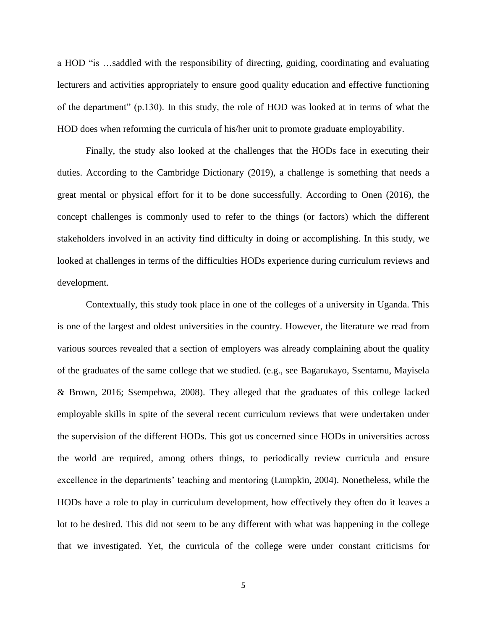a HOD "is …saddled with the responsibility of directing, guiding, coordinating and evaluating lecturers and activities appropriately to ensure good quality education and effective functioning of the department" (p.130). In this study, the role of HOD was looked at in terms of what the HOD does when reforming the curricula of his/her unit to promote graduate employability.

Finally, the study also looked at the challenges that the HODs face in executing their duties. According to the Cambridge Dictionary (2019), a challenge is something that needs a great mental or physical effort for it to be done successfully. According to Onen (2016), the concept challenges is commonly used to refer to the things (or factors) which the different stakeholders involved in an activity find difficulty in doing or accomplishing. In this study, we looked at challenges in terms of the difficulties HODs experience during curriculum reviews and development.

Contextually, this study took place in one of the colleges of a university in Uganda. This is one of the largest and oldest universities in the country. However, the literature we read from various sources revealed that a section of employers was already complaining about the quality of the graduates of the same college that we studied. (e.g., see Bagarukayo, Ssentamu, Mayisela & Brown, 2016; Ssempebwa, 2008). They alleged that the graduates of this college lacked employable skills in spite of the several recent curriculum reviews that were undertaken under the supervision of the different HODs. This got us concerned since HODs in universities across the world are required, among others things, to periodically review curricula and ensure excellence in the departments' teaching and mentoring (Lumpkin, 2004). Nonetheless, while the HODs have a role to play in curriculum development, how effectively they often do it leaves a lot to be desired. This did not seem to be any different with what was happening in the college that we investigated. Yet, the curricula of the college were under constant criticisms for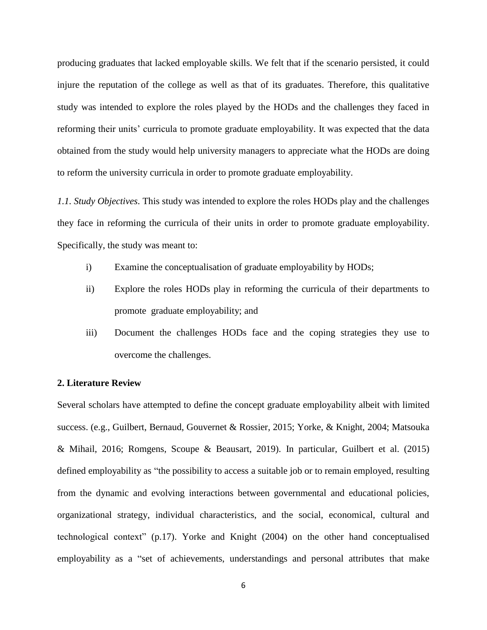producing graduates that lacked employable skills. We felt that if the scenario persisted, it could injure the reputation of the college as well as that of its graduates. Therefore, this qualitative study was intended to explore the roles played by the HODs and the challenges they faced in reforming their units' curricula to promote graduate employability. It was expected that the data obtained from the study would help university managers to appreciate what the HODs are doing to reform the university curricula in order to promote graduate employability.

*1.1. Study Objectives*. This study was intended to explore the roles HODs play and the challenges they face in reforming the curricula of their units in order to promote graduate employability. Specifically, the study was meant to:

- i) Examine the conceptualisation of graduate employability by HODs;
- ii) Explore the roles HODs play in reforming the curricula of their departments to promote graduate employability; and
- iii) Document the challenges HODs face and the coping strategies they use to overcome the challenges.

### **2. Literature Review**

Several scholars have attempted to define the concept graduate employability albeit with limited success. (e.g., Guilbert, Bernaud, Gouvernet & Rossier, 2015; Yorke, & Knight, 2004; Matsouka & Mihail, 2016; Romgens, Scoupe & Beausart, 2019). In particular, Guilbert et al. (2015) defined employability as "the possibility to access a suitable job or to remain employed, resulting from the dynamic and evolving interactions between governmental and educational policies, organizational strategy, individual characteristics, and the social, economical, cultural and technological context" (p.17). Yorke and Knight (2004) on the other hand conceptualised employability as a "set of achievements, understandings and personal attributes that make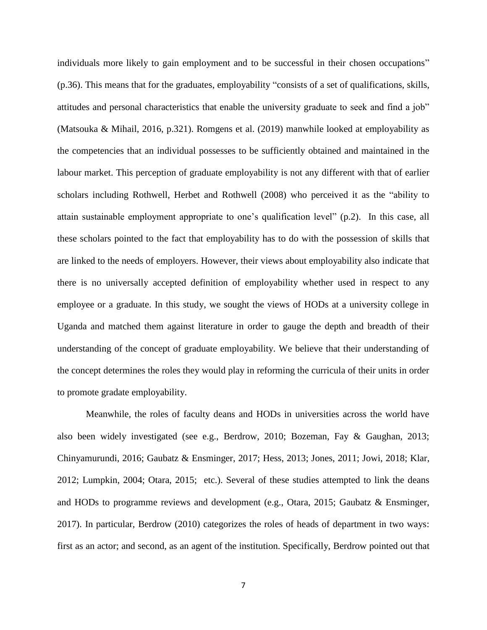individuals more likely to gain employment and to be successful in their chosen occupations" (p.36). This means that for the graduates, employability "consists of a set of qualifications, skills, attitudes and personal characteristics that enable the university graduate to seek and find a job" (Matsouka & Mihail, 2016, p.321). Romgens et al. (2019) manwhile looked at employability as the competencies that an individual possesses to be sufficiently obtained and maintained in the labour market. This perception of graduate employability is not any different with that of earlier scholars including Rothwell, Herbet and Rothwell (2008) who perceived it as the "ability to attain sustainable employment appropriate to one's qualification level" (p.2). In this case, all these scholars pointed to the fact that employability has to do with the possession of skills that are linked to the needs of employers. However, their views about employability also indicate that there is no universally accepted definition of employability whether used in respect to any employee or a graduate. In this study, we sought the views of HODs at a university college in Uganda and matched them against literature in order to gauge the depth and breadth of their understanding of the concept of graduate employability. We believe that their understanding of the concept determines the roles they would play in reforming the curricula of their units in order to promote gradate employability.

Meanwhile, the roles of faculty deans and HODs in universities across the world have also been widely investigated (see e.g., Berdrow, 2010; Bozeman, Fay & Gaughan, 2013; Chinyamurundi, 2016; Gaubatz & Ensminger, 2017; Hess, 2013; Jones, 2011; Jowi, 2018; Klar, 2012; Lumpkin, 2004; Otara, 2015; etc.). Several of these studies attempted to link the deans and HODs to programme reviews and development (e.g., Otara, 2015; Gaubatz & Ensminger, 2017). In particular, Berdrow (2010) categorizes the roles of heads of department in two ways: first as an actor; and second, as an agent of the institution. Specifically, Berdrow pointed out that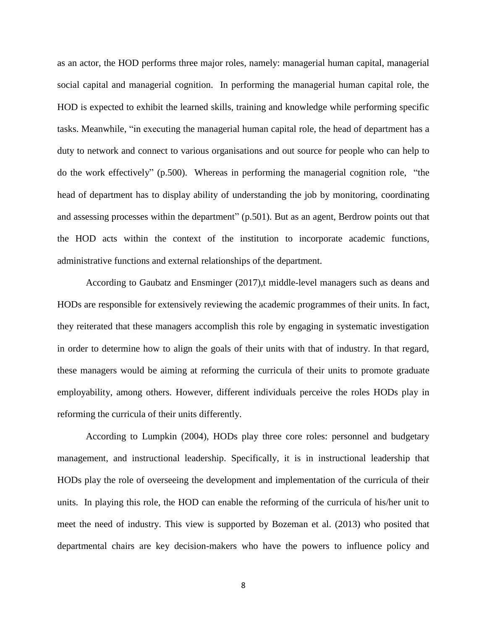as an actor, the HOD performs three major roles, namely: managerial human capital, managerial social capital and managerial cognition. In performing the managerial human capital role, the HOD is expected to exhibit the learned skills, training and knowledge while performing specific tasks. Meanwhile, "in executing the managerial human capital role, the head of department has a duty to network and connect to various organisations and out source for people who can help to do the work effectively" (p.500). Whereas in performing the managerial cognition role, "the head of department has to display ability of understanding the job by monitoring, coordinating and assessing processes within the department" (p.501). But as an agent, Berdrow points out that the HOD acts within the context of the institution to incorporate academic functions, administrative functions and external relationships of the department.

According to Gaubatz and Ensminger (2017),t middle-level managers such as deans and HODs are responsible for extensively reviewing the academic programmes of their units. In fact, they reiterated that these managers accomplish this role by engaging in systematic investigation in order to determine how to align the goals of their units with that of industry. In that regard, these managers would be aiming at reforming the curricula of their units to promote graduate employability, among others. However, different individuals perceive the roles HODs play in reforming the curricula of their units differently.

According to Lumpkin (2004), HODs play three core roles: personnel and budgetary management, and instructional leadership. Specifically, it is in instructional leadership that HODs play the role of overseeing the development and implementation of the curricula of their units. In playing this role, the HOD can enable the reforming of the curricula of his/her unit to meet the need of industry. This view is supported by Bozeman et al. (2013) who posited that departmental chairs are key decision-makers who have the powers to influence policy and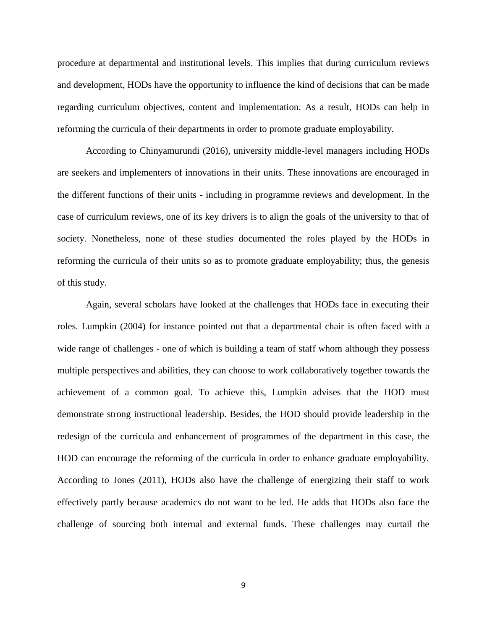procedure at departmental and institutional levels. This implies that during curriculum reviews and development, HODs have the opportunity to influence the kind of decisions that can be made regarding curriculum objectives, content and implementation. As a result, HODs can help in reforming the curricula of their departments in order to promote graduate employability.

According to Chinyamurundi (2016), university middle-level managers including HODs are seekers and implementers of innovations in their units. These innovations are encouraged in the different functions of their units - including in programme reviews and development. In the case of curriculum reviews, one of its key drivers is to align the goals of the university to that of society. Nonetheless, none of these studies documented the roles played by the HODs in reforming the curricula of their units so as to promote graduate employability; thus, the genesis of this study.

Again, several scholars have looked at the challenges that HODs face in executing their roles. Lumpkin (2004) for instance pointed out that a departmental chair is often faced with a wide range of challenges - one of which is building a team of staff whom although they possess multiple perspectives and abilities, they can choose to work collaboratively together towards the achievement of a common goal. To achieve this, Lumpkin advises that the HOD must demonstrate strong instructional leadership. Besides, the HOD should provide leadership in the redesign of the curricula and enhancement of programmes of the department in this case, the HOD can encourage the reforming of the curricula in order to enhance graduate employability. According to Jones (2011), HODs also have the challenge of energizing their staff to work effectively partly because academics do not want to be led. He adds that HODs also face the challenge of sourcing both internal and external funds. These challenges may curtail the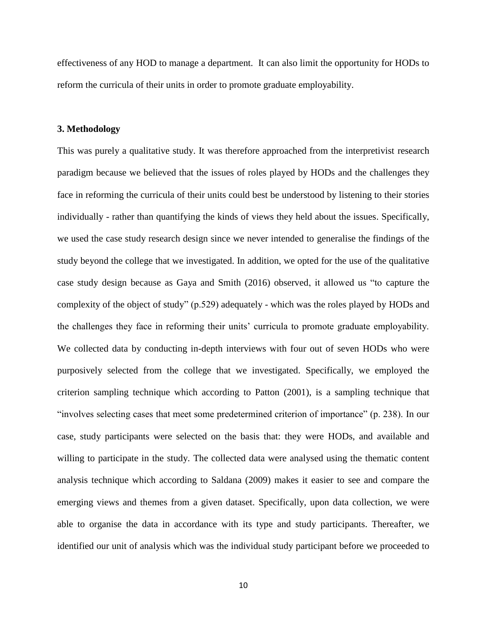effectiveness of any HOD to manage a department. It can also limit the opportunity for HODs to reform the curricula of their units in order to promote graduate employability.

#### **3. Methodology**

This was purely a qualitative study. It was therefore approached from the interpretivist research paradigm because we believed that the issues of roles played by HODs and the challenges they face in reforming the curricula of their units could best be understood by listening to their stories individually - rather than quantifying the kinds of views they held about the issues. Specifically, we used the case study research design since we never intended to generalise the findings of the study beyond the college that we investigated. In addition, we opted for the use of the qualitative case study design because as Gaya and Smith (2016) observed, it allowed us "to capture the complexity of the object of study" (p.529) adequately - which was the roles played by HODs and the challenges they face in reforming their units' curricula to promote graduate employability. We collected data by conducting in-depth interviews with four out of seven HODs who were purposively selected from the college that we investigated. Specifically, we employed the criterion sampling technique which according to Patton (2001), is a sampling technique that "involves selecting cases that meet some predetermined criterion of importance" (p. 238). In our case, study participants were selected on the basis that: they were HODs, and available and willing to participate in the study. The collected data were analysed using the thematic content analysis technique which according to Saldana (2009) makes it easier to see and compare the emerging views and themes from a given dataset. Specifically, upon data collection, we were able to organise the data in accordance with its type and study participants. Thereafter, we identified our unit of analysis which was the individual study participant before we proceeded to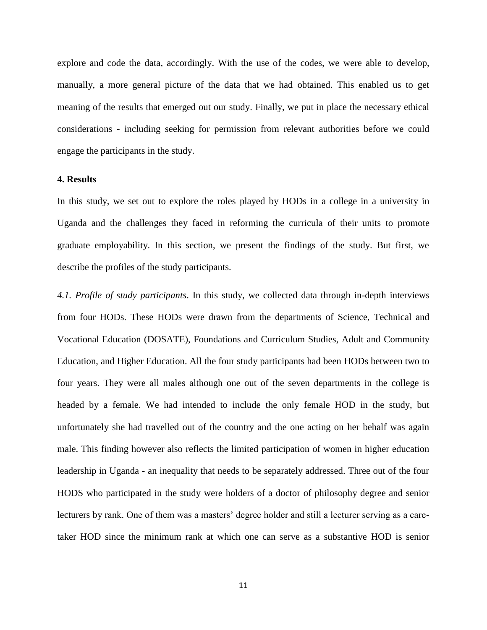explore and code the data, accordingly. With the use of the codes, we were able to develop, manually, a more general picture of the data that we had obtained. This enabled us to get meaning of the results that emerged out our study. Finally, we put in place the necessary ethical considerations - including seeking for permission from relevant authorities before we could engage the participants in the study.

# **4. Results**

In this study, we set out to explore the roles played by HODs in a college in a university in Uganda and the challenges they faced in reforming the curricula of their units to promote graduate employability. In this section, we present the findings of the study. But first, we describe the profiles of the study participants.

*4.1. Profile of study participants*. In this study, we collected data through in-depth interviews from four HODs. These HODs were drawn from the departments of Science, Technical and Vocational Education (DOSATE), Foundations and Curriculum Studies, Adult and Community Education, and Higher Education. All the four study participants had been HODs between two to four years. They were all males although one out of the seven departments in the college is headed by a female. We had intended to include the only female HOD in the study, but unfortunately she had travelled out of the country and the one acting on her behalf was again male. This finding however also reflects the limited participation of women in higher education leadership in Uganda - an inequality that needs to be separately addressed. Three out of the four HODS who participated in the study were holders of a doctor of philosophy degree and senior lecturers by rank. One of them was a masters' degree holder and still a lecturer serving as a caretaker HOD since the minimum rank at which one can serve as a substantive HOD is senior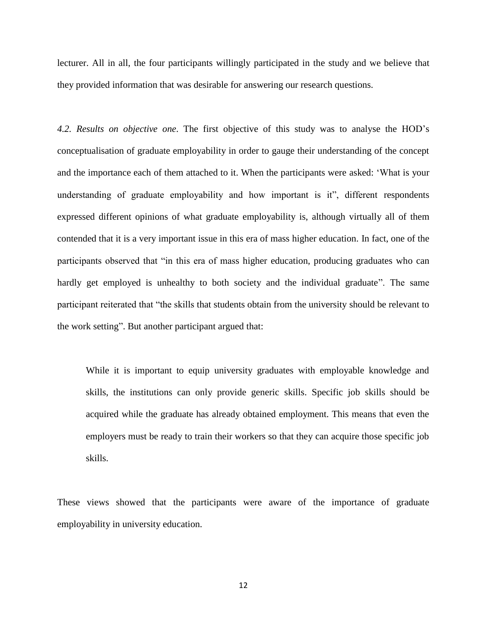lecturer. All in all, the four participants willingly participated in the study and we believe that they provided information that was desirable for answering our research questions.

*4.2. Results on objective one*. The first objective of this study was to analyse the HOD's conceptualisation of graduate employability in order to gauge their understanding of the concept and the importance each of them attached to it. When the participants were asked: 'What is your understanding of graduate employability and how important is it", different respondents expressed different opinions of what graduate employability is, although virtually all of them contended that it is a very important issue in this era of mass higher education. In fact, one of the participants observed that "in this era of mass higher education, producing graduates who can hardly get employed is unhealthy to both society and the individual graduate". The same participant reiterated that "the skills that students obtain from the university should be relevant to the work setting". But another participant argued that:

While it is important to equip university graduates with employable knowledge and skills, the institutions can only provide generic skills. Specific job skills should be acquired while the graduate has already obtained employment. This means that even the employers must be ready to train their workers so that they can acquire those specific job skills.

These views showed that the participants were aware of the importance of graduate employability in university education.

12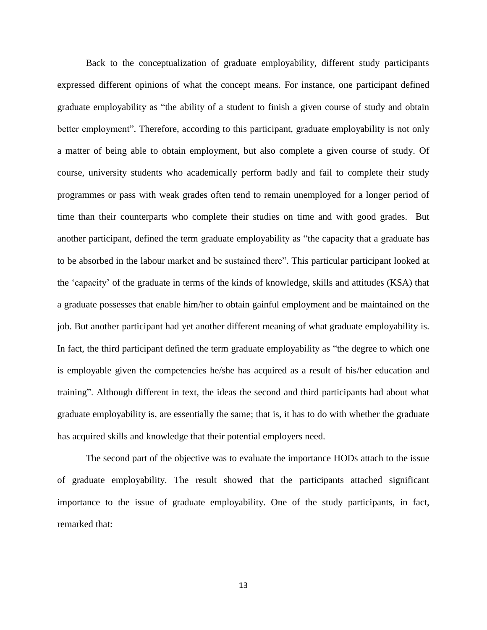Back to the conceptualization of graduate employability, different study participants expressed different opinions of what the concept means. For instance, one participant defined graduate employability as "the ability of a student to finish a given course of study and obtain better employment". Therefore, according to this participant, graduate employability is not only a matter of being able to obtain employment, but also complete a given course of study. Of course, university students who academically perform badly and fail to complete their study programmes or pass with weak grades often tend to remain unemployed for a longer period of time than their counterparts who complete their studies on time and with good grades. But another participant, defined the term graduate employability as "the capacity that a graduate has to be absorbed in the labour market and be sustained there". This particular participant looked at the 'capacity' of the graduate in terms of the kinds of knowledge, skills and attitudes (KSA) that a graduate possesses that enable him/her to obtain gainful employment and be maintained on the job. But another participant had yet another different meaning of what graduate employability is. In fact, the third participant defined the term graduate employability as "the degree to which one is employable given the competencies he/she has acquired as a result of his/her education and training". Although different in text, the ideas the second and third participants had about what graduate employability is, are essentially the same; that is, it has to do with whether the graduate has acquired skills and knowledge that their potential employers need.

The second part of the objective was to evaluate the importance HODs attach to the issue of graduate employability. The result showed that the participants attached significant importance to the issue of graduate employability. One of the study participants, in fact, remarked that:

13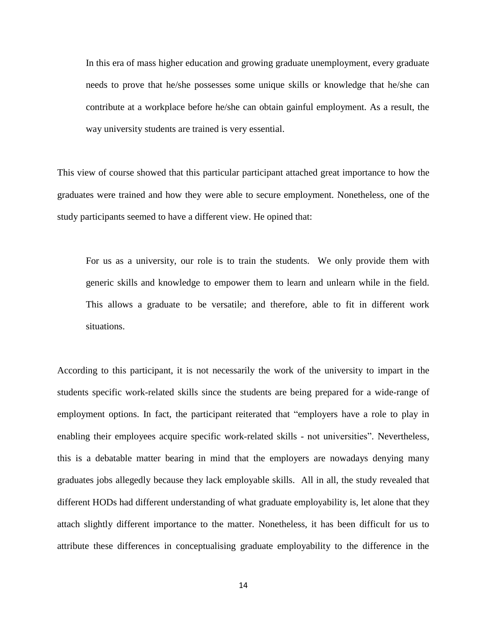In this era of mass higher education and growing graduate unemployment, every graduate needs to prove that he/she possesses some unique skills or knowledge that he/she can contribute at a workplace before he/she can obtain gainful employment. As a result, the way university students are trained is very essential.

This view of course showed that this particular participant attached great importance to how the graduates were trained and how they were able to secure employment. Nonetheless, one of the study participants seemed to have a different view. He opined that:

For us as a university, our role is to train the students. We only provide them with generic skills and knowledge to empower them to learn and unlearn while in the field. This allows a graduate to be versatile; and therefore, able to fit in different work situations.

According to this participant, it is not necessarily the work of the university to impart in the students specific work-related skills since the students are being prepared for a wide-range of employment options. In fact, the participant reiterated that "employers have a role to play in enabling their employees acquire specific work-related skills - not universities". Nevertheless, this is a debatable matter bearing in mind that the employers are nowadays denying many graduates jobs allegedly because they lack employable skills. All in all, the study revealed that different HODs had different understanding of what graduate employability is, let alone that they attach slightly different importance to the matter. Nonetheless, it has been difficult for us to attribute these differences in conceptualising graduate employability to the difference in the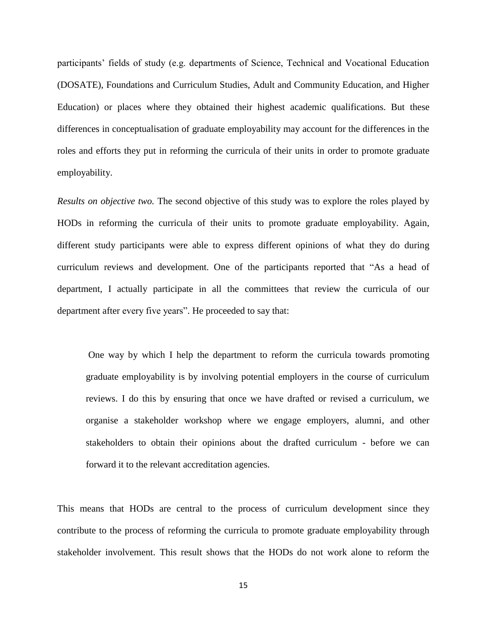participants' fields of study (e.g. departments of Science, Technical and Vocational Education (DOSATE), Foundations and Curriculum Studies, Adult and Community Education, and Higher Education) or places where they obtained their highest academic qualifications. But these differences in conceptualisation of graduate employability may account for the differences in the roles and efforts they put in reforming the curricula of their units in order to promote graduate employability.

*Results on objective two.* The second objective of this study was to explore the roles played by HODs in reforming the curricula of their units to promote graduate employability. Again, different study participants were able to express different opinions of what they do during curriculum reviews and development. One of the participants reported that "As a head of department, I actually participate in all the committees that review the curricula of our department after every five years". He proceeded to say that:

One way by which I help the department to reform the curricula towards promoting graduate employability is by involving potential employers in the course of curriculum reviews. I do this by ensuring that once we have drafted or revised a curriculum, we organise a stakeholder workshop where we engage employers, alumni, and other stakeholders to obtain their opinions about the drafted curriculum - before we can forward it to the relevant accreditation agencies.

This means that HODs are central to the process of curriculum development since they contribute to the process of reforming the curricula to promote graduate employability through stakeholder involvement. This result shows that the HODs do not work alone to reform the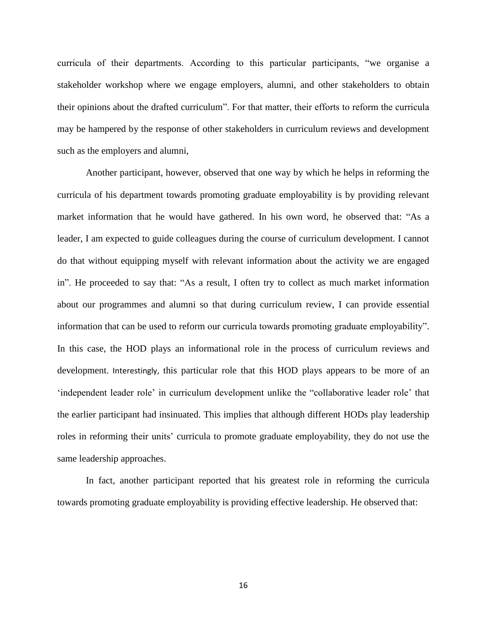curricula of their departments. According to this particular participants, "we organise a stakeholder workshop where we engage employers, alumni, and other stakeholders to obtain their opinions about the drafted curriculum". For that matter, their efforts to reform the curricula may be hampered by the response of other stakeholders in curriculum reviews and development such as the employers and alumni,

Another participant, however, observed that one way by which he helps in reforming the curricula of his department towards promoting graduate employability is by providing relevant market information that he would have gathered. In his own word, he observed that: "As a leader, I am expected to guide colleagues during the course of curriculum development. I cannot do that without equipping myself with relevant information about the activity we are engaged in". He proceeded to say that: "As a result, I often try to collect as much market information about our programmes and alumni so that during curriculum review, I can provide essential information that can be used to reform our curricula towards promoting graduate employability". In this case, the HOD plays an informational role in the process of curriculum reviews and development. Interestingly, this particular role that this HOD plays appears to be more of an 'independent leader role' in curriculum development unlike the "collaborative leader role' that the earlier participant had insinuated. This implies that although different HODs play leadership roles in reforming their units' curricula to promote graduate employability, they do not use the same leadership approaches.

In fact, another participant reported that his greatest role in reforming the curricula towards promoting graduate employability is providing effective leadership. He observed that: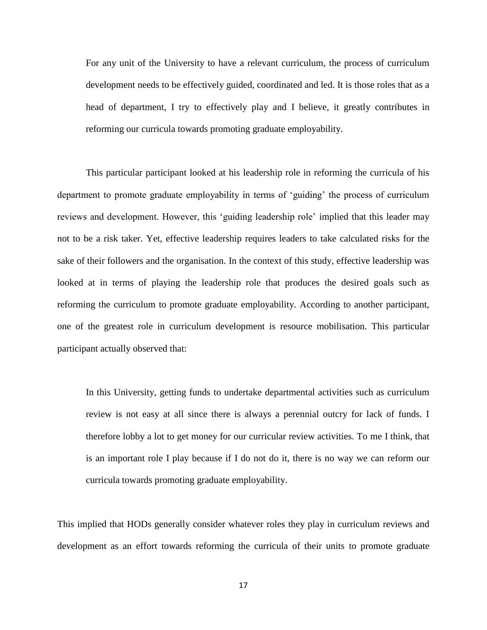For any unit of the University to have a relevant curriculum, the process of curriculum development needs to be effectively guided, coordinated and led. It is those roles that as a head of department, I try to effectively play and I believe, it greatly contributes in reforming our curricula towards promoting graduate employability.

This particular participant looked at his leadership role in reforming the curricula of his department to promote graduate employability in terms of 'guiding' the process of curriculum reviews and development. However, this 'guiding leadership role' implied that this leader may not to be a risk taker. Yet, effective leadership requires leaders to take calculated risks for the sake of their followers and the organisation. In the context of this study, effective leadership was looked at in terms of playing the leadership role that produces the desired goals such as reforming the curriculum to promote graduate employability. According to another participant, one of the greatest role in curriculum development is resource mobilisation. This particular participant actually observed that:

In this University, getting funds to undertake departmental activities such as curriculum review is not easy at all since there is always a perennial outcry for lack of funds. I therefore lobby a lot to get money for our curricular review activities. To me I think, that is an important role I play because if I do not do it, there is no way we can reform our curricula towards promoting graduate employability.

This implied that HODs generally consider whatever roles they play in curriculum reviews and development as an effort towards reforming the curricula of their units to promote graduate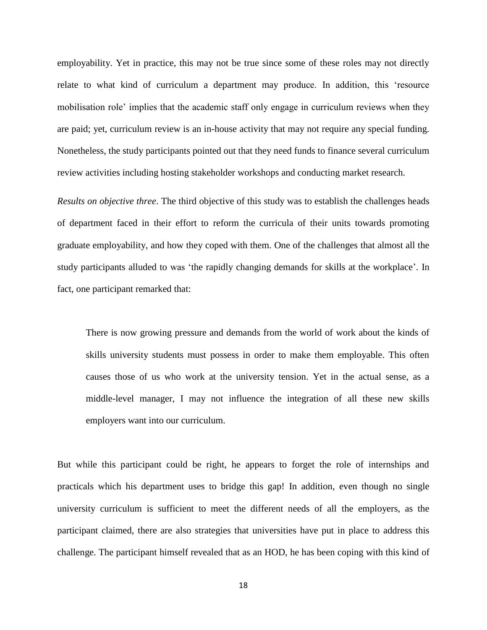employability. Yet in practice, this may not be true since some of these roles may not directly relate to what kind of curriculum a department may produce. In addition, this 'resource mobilisation role' implies that the academic staff only engage in curriculum reviews when they are paid; yet, curriculum review is an in-house activity that may not require any special funding. Nonetheless, the study participants pointed out that they need funds to finance several curriculum review activities including hosting stakeholder workshops and conducting market research.

*Results on objective three*. The third objective of this study was to establish the challenges heads of department faced in their effort to reform the curricula of their units towards promoting graduate employability, and how they coped with them. One of the challenges that almost all the study participants alluded to was 'the rapidly changing demands for skills at the workplace'. In fact, one participant remarked that:

There is now growing pressure and demands from the world of work about the kinds of skills university students must possess in order to make them employable. This often causes those of us who work at the university tension. Yet in the actual sense, as a middle-level manager, I may not influence the integration of all these new skills employers want into our curriculum.

But while this participant could be right, he appears to forget the role of internships and practicals which his department uses to bridge this gap! In addition, even though no single university curriculum is sufficient to meet the different needs of all the employers, as the participant claimed, there are also strategies that universities have put in place to address this challenge. The participant himself revealed that as an HOD, he has been coping with this kind of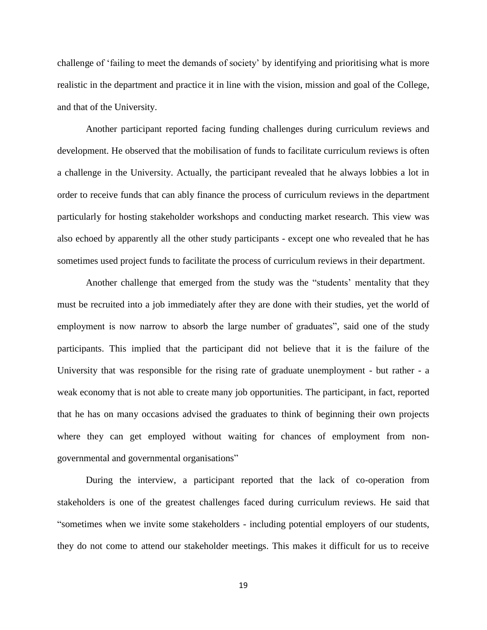challenge of 'failing to meet the demands of society' by identifying and prioritising what is more realistic in the department and practice it in line with the vision, mission and goal of the College, and that of the University.

Another participant reported facing funding challenges during curriculum reviews and development. He observed that the mobilisation of funds to facilitate curriculum reviews is often a challenge in the University. Actually, the participant revealed that he always lobbies a lot in order to receive funds that can ably finance the process of curriculum reviews in the department particularly for hosting stakeholder workshops and conducting market research. This view was also echoed by apparently all the other study participants - except one who revealed that he has sometimes used project funds to facilitate the process of curriculum reviews in their department.

Another challenge that emerged from the study was the "students' mentality that they must be recruited into a job immediately after they are done with their studies, yet the world of employment is now narrow to absorb the large number of graduates", said one of the study participants. This implied that the participant did not believe that it is the failure of the University that was responsible for the rising rate of graduate unemployment - but rather - a weak economy that is not able to create many job opportunities. The participant, in fact, reported that he has on many occasions advised the graduates to think of beginning their own projects where they can get employed without waiting for chances of employment from nongovernmental and governmental organisations"

During the interview, a participant reported that the lack of co-operation from stakeholders is one of the greatest challenges faced during curriculum reviews. He said that "sometimes when we invite some stakeholders - including potential employers of our students, they do not come to attend our stakeholder meetings. This makes it difficult for us to receive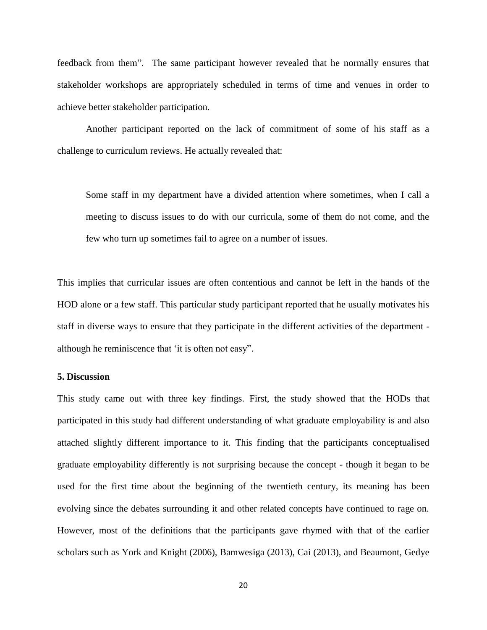feedback from them". The same participant however revealed that he normally ensures that stakeholder workshops are appropriately scheduled in terms of time and venues in order to achieve better stakeholder participation.

Another participant reported on the lack of commitment of some of his staff as a challenge to curriculum reviews. He actually revealed that:

Some staff in my department have a divided attention where sometimes, when I call a meeting to discuss issues to do with our curricula, some of them do not come, and the few who turn up sometimes fail to agree on a number of issues.

This implies that curricular issues are often contentious and cannot be left in the hands of the HOD alone or a few staff. This particular study participant reported that he usually motivates his staff in diverse ways to ensure that they participate in the different activities of the department although he reminiscence that 'it is often not easy".

#### **5. Discussion**

This study came out with three key findings. First, the study showed that the HODs that participated in this study had different understanding of what graduate employability is and also attached slightly different importance to it. This finding that the participants conceptualised graduate employability differently is not surprising because the concept - though it began to be used for the first time about the beginning of the twentieth century, its meaning has been evolving since the debates surrounding it and other related concepts have continued to rage on. However, most of the definitions that the participants gave rhymed with that of the earlier scholars such as York and Knight (2006), Bamwesiga (2013), Cai (2013), and Beaumont, Gedye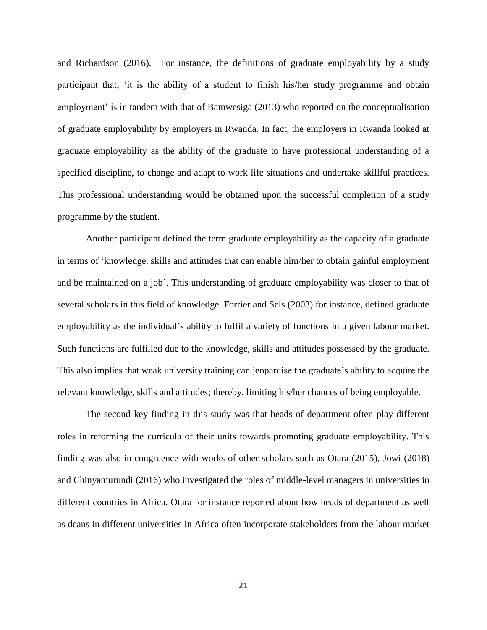and Richardson (2016). For instance, the definitions of graduate employability by a study participant that; 'it is the ability of a student to finish his/her study programme and obtain employment' is in tandem with that of Bamwesiga (2013) who reported on the conceptualisation of graduate employability by employers in Rwanda. In fact, the employers in Rwanda looked at graduate employability as the ability of the graduate to have professional understanding of a specified discipline, to change and adapt to work life situations and undertake skillful practices. This professional understanding would be obtained upon the successful completion of a study programme by the student.

Another participant defined the term graduate employability as the capacity of a graduate in terms of 'knowledge, skills and attitudes that can enable him/her to obtain gainful employment and be maintained on a job'. This understanding of graduate employability was closer to that of several scholars in this field of knowledge. Forrier and Sels (2003) for instance, defined graduate employability as the individual's ability to fulfil a variety of functions in a given labour market. Such functions are fulfilled due to the knowledge, skills and attitudes possessed by the graduate. This also implies that weak university training can jeopardise the graduate's ability to acquire the relevant knowledge, skills and attitudes; thereby, limiting his/her chances of being employable.

The second key finding in this study was that heads of department often play different roles in reforming the curricula of their units towards promoting graduate employability. This finding was also in congruence with works of other scholars such as Otara (2015), Jowi (2018) and Chinyamurundi (2016) who investigated the roles of middle-level managers in universities in different countries in Africa. Otara for instance reported about how heads of department as well as deans in different universities in Africa often incorporate stakeholders from the labour market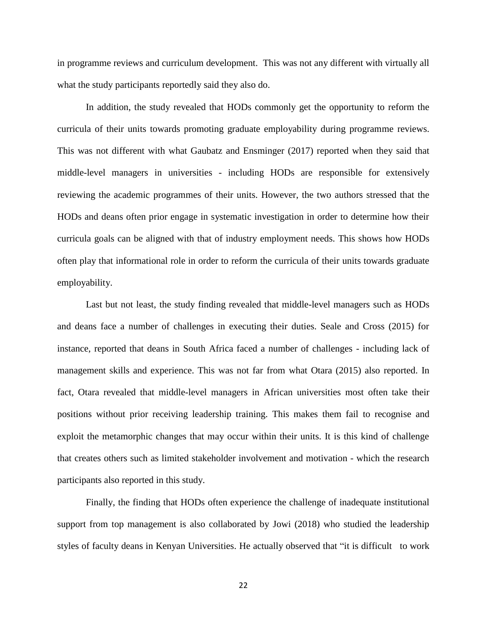in programme reviews and curriculum development. This was not any different with virtually all what the study participants reportedly said they also do.

In addition, the study revealed that HODs commonly get the opportunity to reform the curricula of their units towards promoting graduate employability during programme reviews. This was not different with what Gaubatz and Ensminger (2017) reported when they said that middle-level managers in universities - including HODs are responsible for extensively reviewing the academic programmes of their units. However, the two authors stressed that the HODs and deans often prior engage in systematic investigation in order to determine how their curricula goals can be aligned with that of industry employment needs. This shows how HODs often play that informational role in order to reform the curricula of their units towards graduate employability.

Last but not least, the study finding revealed that middle-level managers such as HODs and deans face a number of challenges in executing their duties. Seale and Cross (2015) for instance, reported that deans in South Africa faced a number of challenges - including lack of management skills and experience. This was not far from what Otara (2015) also reported. In fact, Otara revealed that middle-level managers in African universities most often take their positions without prior receiving leadership training. This makes them fail to recognise and exploit the metamorphic changes that may occur within their units. It is this kind of challenge that creates others such as limited stakeholder involvement and motivation - which the research participants also reported in this study.

Finally, the finding that HODs often experience the challenge of inadequate institutional support from top management is also collaborated by Jowi (2018) who studied the leadership styles of faculty deans in Kenyan Universities. He actually observed that "it is difficult to work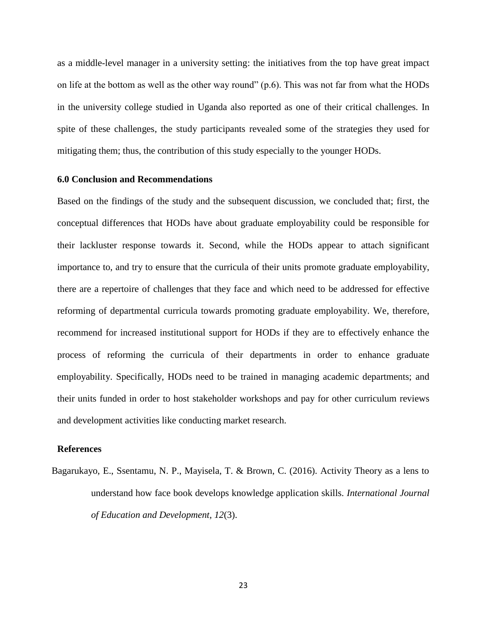as a middle-level manager in a university setting: the initiatives from the top have great impact on life at the bottom as well as the other way round" (p.6). This was not far from what the HODs in the university college studied in Uganda also reported as one of their critical challenges. In spite of these challenges, the study participants revealed some of the strategies they used for mitigating them; thus, the contribution of this study especially to the younger HODs.

# **6.0 Conclusion and Recommendations**

Based on the findings of the study and the subsequent discussion, we concluded that; first, the conceptual differences that HODs have about graduate employability could be responsible for their lackluster response towards it. Second, while the HODs appear to attach significant importance to, and try to ensure that the curricula of their units promote graduate employability, there are a repertoire of challenges that they face and which need to be addressed for effective reforming of departmental curricula towards promoting graduate employability. We, therefore, recommend for increased institutional support for HODs if they are to effectively enhance the process of reforming the curricula of their departments in order to enhance graduate employability. Specifically, HODs need to be trained in managing academic departments; and their units funded in order to host stakeholder workshops and pay for other curriculum reviews and development activities like conducting market research.

### **References**

Bagarukayo, E., Ssentamu, N. P., Mayisela, T. & Brown, C. (2016). Activity Theory as a lens to understand how face book develops knowledge application skills. *International Journal of Education and Development, 12*(3).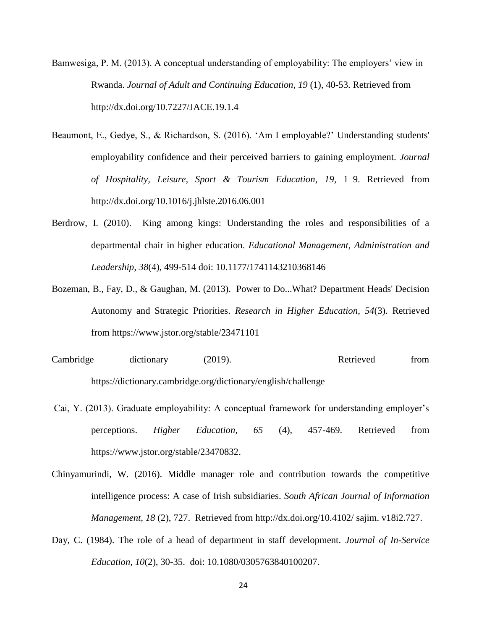Bamwesiga, P. M. (2013). A conceptual understanding of employability: The employers' view in Rwanda. *Journal of Adult and Continuing Education*, *19* (1), 40-53. Retrieved from <http://dx.doi.org/10.7227/JACE.19.1.4>

- Beaumont, E., Gedye, S., & Richardson, S. (2016). 'Am I employable?' Understanding students' employability confidence and their perceived barriers to gaining employment. *Journal of Hospitality, Leisure, Sport & Tourism Education*, *19,* 1–9. Retrieved from <http://dx.doi.org/10.1016/j.jhlste.2016.06.001>
- Berdrow, I. (2010). King among kings: Understanding the roles and responsibilities of a departmental chair in higher education. *Educational Management, Administration and Leadership, 38*(4), 499-514 doi: 10.1177/1741143210368146
- Bozeman, B., Fay, D., & Gaughan, M. (2013). Power to Do...What? Department Heads' Decision Autonomy and Strategic Priorities. *Research in Higher Education*, *54*(3). Retrieved from<https://www.jstor.org/stable/23471101>
- Cambridge dictionary (2019). Retrieved from <https://dictionary.cambridge.org/dictionary/english/challenge>
- Cai, Y. (2013). Graduate employability: A conceptual framework for understanding employer's perceptions. *Higher Education*, *65* (4), 457-469. Retrieved from [https://www.jstor.org/stable/23470832.](https://www.jstor.org/stable/23470832)
- Chinyamurindi, W. (2016). Middle manager role and contribution towards the competitive intelligence process: A case of Irish subsidiaries. *South African Journal of Information Management, 18* (2), 727. Retrieved from http://dx.doi.org/10.4102/ sajim. v18i2.727.
- Day, C. (1984). The role of a head of department in staff development. *Journal of In-Service Education, 10*(2), 30-35. doi: 10.1080/0305763840100207.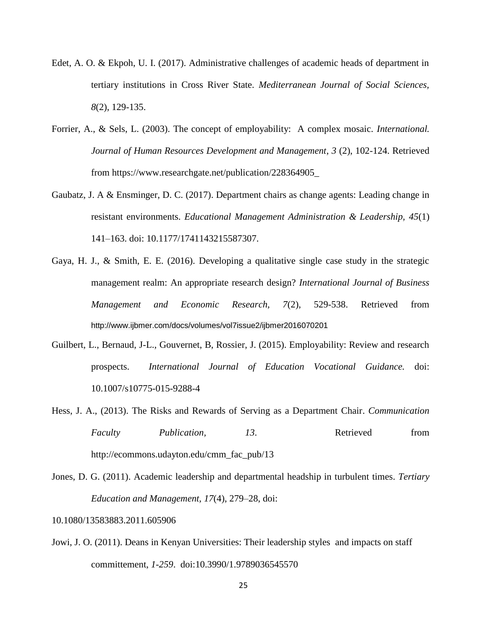- Edet, A. O. & Ekpoh, U. I. (2017). Administrative challenges of academic heads of department in tertiary institutions in Cross River State. *Mediterranean Journal of Social Sciences, 8*(2), 129-135.
- Forrier, A., & Sels, L. (2003). The concept of employability: A complex mosaic. *International. Journal of Human Resources Development and Management*, *3* (2), 102-124. Retrieved from [https://www.researchgate.net/publication/228364905\\_](https://www.researchgate.net/publication/228364905_)
- Gaubatz, J. A & Ensminger, D. C. (2017). Department chairs as change agents: Leading change in resistant environments. *Educational Management Administration & Leadership, 45*(1) 141–163. doi: 10.1177/1741143215587307.
- Gaya, H. J., & Smith, E. E. (2016). Developing a qualitative single case study in the strategic management realm: An appropriate research design? *International Journal of Business Management and Economic Research, 7*(2), 529-538. Retrieved from [http://www.ijbmer.com/docs/volumes/vol7issue2/ijbmer2016070201](http://www.ijbmer.com/docs/volumes/vol7issue2/ijbmer2016070201.pdf)
- Guilbert, L., Bernaud, J-L., Gouvernet, B, Rossier, J. (2015). Employability: Review and research prospects. *International Journal of Education Vocational Guidance.* doi: 10.1007/s10775-015-9288-4
- Hess, J. A., (2013). The Risks and Rewards of Serving as a Department Chair. *Communication Faculty Publication, 13*. Retrieved from http://ecommons.udayton.edu/cmm\_fac\_pub/13
- Jones, D. G. (2011). Academic leadership and departmental headship in turbulent times. *Tertiary Education and Management, 17*(4), 279–28, doi:
- 10.1080/13583883.2011.605906
- Jowi, J. O. (2011). Deans in Kenyan Universities: Their leadership styles and impacts on staff committement, *1-259*. doi:10.3990/1.9789036545570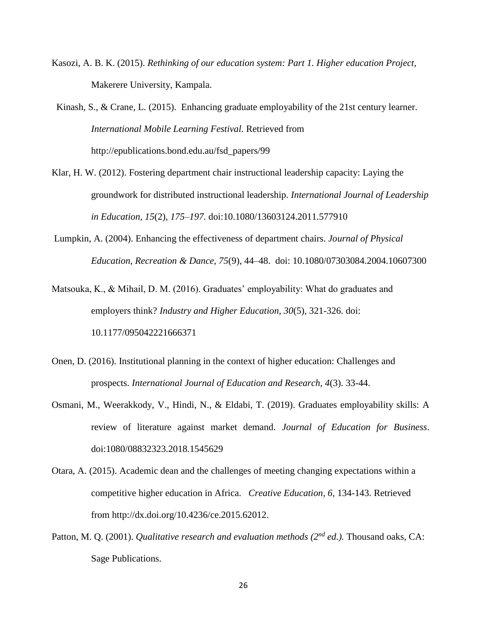Kasozi, A. B. K. (2015). *Rethinking of our education system: Part 1. Higher education Project*, Makerere University, Kampala.

Kinash, S., & Crane, L. (2015). Enhancing graduate employability of the 21st century learner*. International Mobile Learning Festival.* Retrieved from [http://epublications.bond.edu.au/fsd\\_papers/99](http://epublications.bond.edu.au/fsd_papers/99)

- Klar, H. W. (2012). Fostering department chair instructional leadership capacity: Laying the groundwork for distributed instructional leadership. *International Journal of Leadership in Education, 15*(2), *175–197.* doi:10.1080/13603124.2011.577910
- Lumpkin, A. (2004). Enhancing the effectiveness of department chairs. *Journal of Physical Education, Recreation & Dance, 75*(9), 44–48. doi: 10.1080/07303084.2004.10607300
- Matsouka, K., & Mihail, D. M. (2016). Graduates' employability: What do graduates and employers think? *Industry and Higher Education, 30*(5), 321-326. doi: 10.1177/095042221666371
- Onen, D. (2016). Institutional planning in the context of higher education: Challenges and prospects. *International Journal of Education and Research, 4*(3). 33-44.
- Osmani, M., Weerakkody, V., Hindi, N., & Eldabi, T. (2019). Graduates employability skills: A review of literature against market demand. *Journal of Education for Business*. doi:1080/08832323.2018.1545629
- Otara, A. (2015). Academic dean and the challenges of meeting changing expectations within a competitive higher education in Africa. *Creative Education, 6,* 134-143. Retrieved from http://dx.doi.org/10.4236/ce.2015.62012.
- Patton, M. Q. (2001). *[Qualitative research and evaluation methods](http://books.google.com/books?hl=en&lr=&id=FjBw2oi8El4C&oi=fnd&pg=PP5&sig=a-aWpUDMZqdPqx2VqQaQ9MbTVig&dq=Qualitative+Evaluation+and+Research+Methods&prev=http://scholar.google.com/scholar%3Fq%3DQualitative%2BEvaluation%2Band%2BResearch%2BMethods%26num%3D100%26hl%3Den%26lr%3D%26sa%3DG) (2nd ed.).* Thousand oaks, CA: Sage Publications.